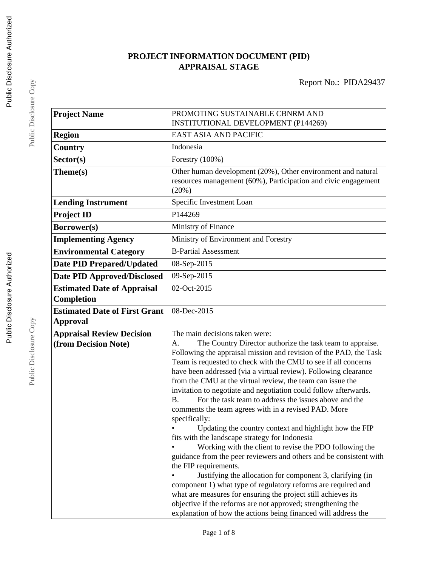# **PROJECT INFORMATION DOCUMENT (PID) APPRAISAL STAGE**

| <b>Project Name</b>                  | PROMOTING SUSTAINABLE CBNRM AND<br>INSTITUTIONAL DEVELOPMENT (P144269)                                                              |  |  |
|--------------------------------------|-------------------------------------------------------------------------------------------------------------------------------------|--|--|
| <b>Region</b>                        | <b>EAST ASIA AND PACIFIC</b>                                                                                                        |  |  |
| <b>Country</b>                       | Indonesia                                                                                                                           |  |  |
| Sector(s)                            | Forestry $(100\%)$                                                                                                                  |  |  |
| Theme(s)                             | Other human development (20%), Other environment and natural                                                                        |  |  |
|                                      | resources management (60%), Participation and civic engagement<br>(20%)                                                             |  |  |
| <b>Lending Instrument</b>            | Specific Investment Loan                                                                                                            |  |  |
| <b>Project ID</b>                    | P144269                                                                                                                             |  |  |
| Borrower(s)                          | Ministry of Finance                                                                                                                 |  |  |
| <b>Implementing Agency</b>           | Ministry of Environment and Forestry                                                                                                |  |  |
| <b>Environmental Category</b>        | <b>B-Partial Assessment</b>                                                                                                         |  |  |
| <b>Date PID Prepared/Updated</b>     | 08-Sep-2015                                                                                                                         |  |  |
| <b>Date PID Approved/Disclosed</b>   | 09-Sep-2015                                                                                                                         |  |  |
| <b>Estimated Date of Appraisal</b>   | 02-Oct-2015                                                                                                                         |  |  |
| Completion                           |                                                                                                                                     |  |  |
| <b>Estimated Date of First Grant</b> | 08-Dec-2015                                                                                                                         |  |  |
| <b>Approval</b>                      |                                                                                                                                     |  |  |
| <b>Appraisal Review Decision</b>     | The main decisions taken were:                                                                                                      |  |  |
| (from Decision Note)                 | The Country Director authorize the task team to appraise.<br>A.                                                                     |  |  |
|                                      | Following the appraisal mission and revision of the PAD, the Task<br>Team is requested to check with the CMU to see if all concerns |  |  |
|                                      | have been addressed (via a virtual review). Following clearance                                                                     |  |  |
|                                      | from the CMU at the virtual review, the team can issue the                                                                          |  |  |
|                                      | invitation to negotiate and negotiation could follow afterwards.                                                                    |  |  |
|                                      | For the task team to address the issues above and the<br><b>B.</b>                                                                  |  |  |
|                                      | comments the team agrees with in a revised PAD. More                                                                                |  |  |
|                                      | specifically:                                                                                                                       |  |  |
|                                      | Updating the country context and highlight how the FIP<br>fits with the landscape strategy for Indonesia                            |  |  |
|                                      | Working with the client to revise the PDO following the                                                                             |  |  |
|                                      | guidance from the peer reviewers and others and be consistent with                                                                  |  |  |
|                                      | the FIP requirements.                                                                                                               |  |  |
|                                      | Justifying the allocation for component 3, clarifying (in                                                                           |  |  |
|                                      | component 1) what type of regulatory reforms are required and                                                                       |  |  |
|                                      | what are measures for ensuring the project still achieves its                                                                       |  |  |
|                                      | objective if the reforms are not approved; strengthening the<br>explanation of how the actions being financed will address the      |  |  |

Public Disclosure Copy

Public Disclosure Copy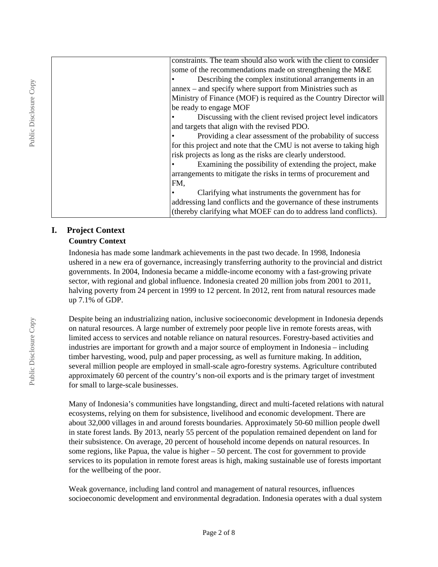| constraints. The team should also work with the client to consider  |
|---------------------------------------------------------------------|
| some of the recommendations made on strengthening the M&E           |
| Describing the complex institutional arrangements in an             |
| annex – and specify where support from Ministries such as           |
| Ministry of Finance (MOF) is required as the Country Director will  |
| be ready to engage MOF                                              |
| Discussing with the client revised project level indicators         |
| and targets that align with the revised PDO.                        |
| Providing a clear assessment of the probability of success          |
| for this project and note that the CMU is not averse to taking high |
| risk projects as long as the risks are clearly understood.          |
| Examining the possibility of extending the project, make            |
| arrangements to mitigate the risks in terms of procurement and      |
| FM,                                                                 |
| Clarifying what instruments the government has for                  |
| addressing land conflicts and the governance of these instruments   |
| (thereby clarifying what MOEF can do to address land conflicts).    |
|                                                                     |

# **I. Project Context**

#### **Country Context**

Indonesia has made some landmark achievements in the past two decade. In 1998, Indonesia ushered in a new era of governance, increasingly transferring authority to the provincial and district governments. In 2004, Indonesia became a middle-income economy with a fast-growing private sector, with regional and global influence. Indonesia created 20 million jobs from 2001 to 2011, halving poverty from 24 percent in 1999 to 12 percent. In 2012, rent from natural resources made up 7.1% of GDP.

Despite being an industrializing nation, inclusive socioeconomic development in Indonesia depends on natural resources. A large number of extremely poor people live in remote forests areas, with limited access to services and notable reliance on natural resources. Forestry-based activities and industries are important for growth and a major source of employment in Indonesia – including timber harvesting, wood, pulp and paper processing, as well as furniture making. In addition, several million people are employed in small-scale agro-forestry systems. Agriculture contributed approximately 60 percent of the country's non-oil exports and is the primary target of investment for small to large-scale businesses.

Many of Indonesia's communities have longstanding, direct and multi-faceted relations with natural ecosystems, relying on them for subsistence, livelihood and economic development. There are about 32,000 villages in and around forests boundaries. Approximately 50-60 million people dwell in state forest lands. By 2013, nearly 55 percent of the population remained dependent on land for their subsistence. On average, 20 percent of household income depends on natural resources. In some regions, like Papua, the value is higher  $-50$  percent. The cost for government to provide services to its population in remote forest areas is high, making sustainable use of forests important for the wellbeing of the poor.

Weak governance, including land control and management of natural resources, influences socioeconomic development and environmental degradation. Indonesia operates with a dual system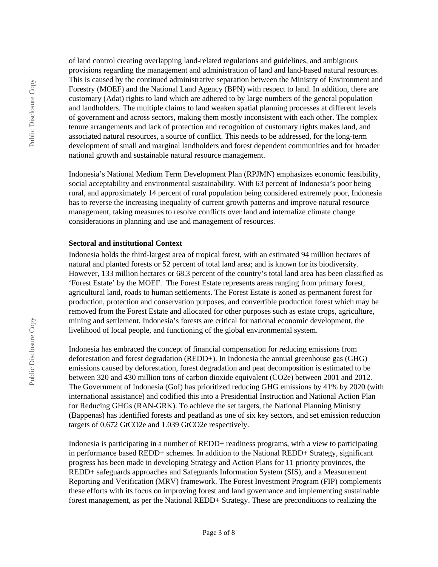of land control creating overlapping land-related regulations and guidelines, and ambiguous provisions regarding the management and administration of land and land-based natural resources. This is caused by the continued administrative separation between the Ministry of Environment and Forestry (MOEF) and the National Land Agency (BPN) with respect to land. In addition, there are customary (Adat) rights to land which are adhered to by large numbers of the general population and landholders. The multiple claims to land weaken spatial planning processes at different levels of government and across sectors, making them mostly inconsistent with each other. The complex tenure arrangements and lack of protection and recognition of customary rights makes land, and associated natural resources, a source of conflict. This needs to be addressed, for the long-term development of small and marginal landholders and forest dependent communities and for broader national growth and sustainable natural resource management.

Indonesia's National Medium Term Development Plan (RPJMN) emphasizes economic feasibility, social acceptability and environmental sustainability. With 63 percent of Indonesia's poor being rural, and approximately 14 percent of rural population being considered extremely poor, Indonesia has to reverse the increasing inequality of current growth patterns and improve natural resource management, taking measures to resolve conflicts over land and internalize climate change considerations in planning and use and management of resources.

#### **Sectoral and institutional Context**

Indonesia holds the third-largest area of tropical forest, with an estimated 94 million hectares of natural and planted forests or 52 percent of total land area; and is known for its biodiversity. However, 133 million hectares or 68.3 percent of the country's total land area has been classified as 'Forest Estate' by the MOEF. The Forest Estate represents areas ranging from primary forest, agricultural land, roads to human settlements. The Forest Estate is zoned as permanent forest for production, protection and conservation purposes, and convertible production forest which may be removed from the Forest Estate and allocated for other purposes such as estate crops, agriculture, mining and settlement. Indonesia's forests are critical for national economic development, the livelihood of local people, and functioning of the global environmental system.

Indonesia has embraced the concept of financial compensation for reducing emissions from deforestation and forest degradation (REDD+). In Indonesia the annual greenhouse gas (GHG) emissions caused by deforestation, forest degradation and peat decomposition is estimated to be between 320 and 430 million tons of carbon dioxide equivalent (CO2e) between 2001 and 2012. The Government of Indonesia (GoI) has prioritized reducing GHG emissions by 41% by 2020 (with international assistance) and codified this into a Presidential Instruction and National Action Plan for Reducing GHGs (RAN-GRK). To achieve the set targets, the National Planning Ministry (Bappenas) has identified forests and peatland as one of six key sectors, and set emission reduction targets of 0.672 GtCO2e and 1.039 GtCO2e respectively.

Indonesia is participating in a number of REDD+ readiness programs, with a view to participating in performance based REDD+ schemes. In addition to the National REDD+ Strategy, significant progress has been made in developing Strategy and Action Plans for 11 priority provinces, the REDD+ safeguards approaches and Safeguards Information System (SIS), and a Measurement Reporting and Verification (MRV) framework. The Forest Investment Program (FIP) complements these efforts with its focus on improving forest and land governance and implementing sustainable forest management, as per the National REDD+ Strategy. These are preconditions to realizing the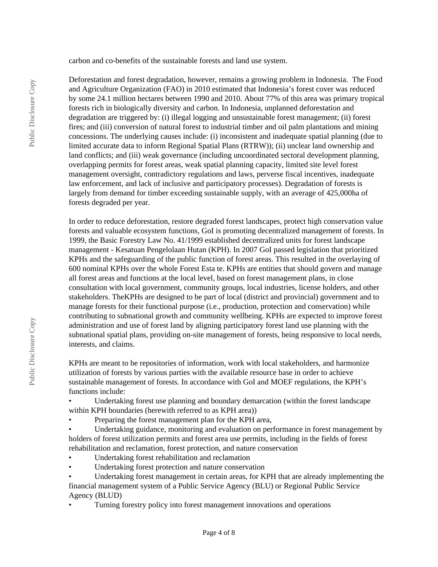carbon and co-benefits of the sustainable forests and land use system.

Deforestation and forest degradation, however, remains a growing problem in Indonesia. The Food and Agriculture Organization (FAO) in 2010 estimated that Indonesia's forest cover was reduced by some 24.1 million hectares between 1990 and 2010. About 77% of this area was primary tropical forests rich in biologically diversity and carbon. In Indonesia, unplanned deforestation and degradation are triggered by: (i) illegal logging and unsustainable forest management; (ii) forest fires; and (iii) conversion of natural forest to industrial timber and oil palm plantations and mining concessions. The underlying causes include: (i) inconsistent and inadequate spatial planning (due to limited accurate data to inform Regional Spatial Plans (RTRW)); (ii) unclear land ownership and land conflicts; and (iii) weak governance (including uncoordinated sectoral development planning, overlapping permits for forest areas, weak spatial planning capacity, limited site level forest management oversight, contradictory regulations and laws, perverse fiscal incentives, inadequate law enforcement, and lack of inclusive and participatory processes). Degradation of forests is largely from demand for timber exceeding sustainable supply, with an average of 425,000ha of forests degraded per year.

In order to reduce deforestation, restore degraded forest landscapes, protect high conservation value forests and valuable ecosystem functions, GoI is promoting decentralized management of forests. In 1999, the Basic Forestry Law No. 41/1999 established decentralized units for forest landscape management - Kesatuan Pengelolaan Hutan (KPH). In 2007 GoI passed legislation that prioritized KPHs and the safeguarding of the public function of forest areas. This resulted in the overlaying of 600 nominal KPHs over the whole Forest Esta te. KPHs are entities that should govern and manage all forest areas and functions at the local level, based on forest management plans, in close consultation with local government, community groups, local industries, license holders, and other stakeholders. TheKPHs are designed to be part of local (district and provincial) government and to manage forests for their functional purpose (i.e., production, protection and conservation) while contributing to subnational growth and community wellbeing. KPHs are expected to improve forest administration and use of forest land by aligning participatory forest land use planning with the subnational spatial plans, providing on-site management of forests, being responsive to local needs, interests, and claims.

KPHs are meant to be repositories of information, work with local stakeholders, and harmonize utilization of forests by various parties with the available resource base in order to achieve sustainable management of forests. In accordance with GoI and MOEF regulations, the KPH's functions include:

• Undertaking forest use planning and boundary demarcation (within the forest landscape within KPH boundaries (herewith referred to as KPH area))

Preparing the forest management plan for the KPH area,

Undertaking guidance, monitoring and evaluation on performance in forest management by holders of forest utilization permits and forest area use permits, including in the fields of forest rehabilitation and reclamation, forest protection, and nature conservation

- Undertaking forest rehabilitation and reclamation
- Undertaking forest protection and nature conservation

• Undertaking forest management in certain areas, for KPH that are already implementing the financial management system of a Public Service Agency (BLU) or Regional Public Service Agency (BLUD)

• Turning forestry policy into forest management innovations and operations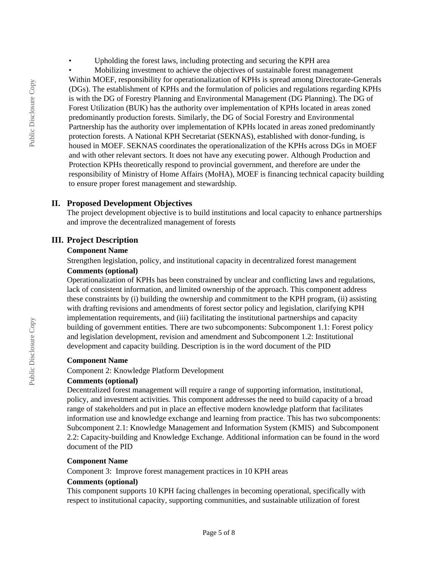Upholding the forest laws, including protecting and securing the KPH area

• Mobilizing investment to achieve the objectives of sustainable forest management Within MOEF, responsibility for operationalization of KPHs is spread among Directorate-Generals (DGs). The establishment of KPHs and the formulation of policies and regulations regarding KPHs is with the DG of Forestry Planning and Environmental Management (DG Planning). The DG of Forest Utilization (BUK) has the authority over implementation of KPHs located in areas zoned predominantly production forests. Similarly, the DG of Social Forestry and Environmental Partnership has the authority over implementation of KPHs located in areas zoned predominantly protection forests. A National KPH Secretariat (SEKNAS), established with donor-funding, is housed in MOEF. SEKNAS coordinates the operationalization of the KPHs across DGs in MOEF and with other relevant sectors. It does not have any executing power. Although Production and Protection KPHs theoretically respond to provincial government, and therefore are under the responsibility of Ministry of Home Affairs (MoHA), MOEF is financing technical capacity building to ensure proper forest management and stewardship.

#### **II. Proposed Development Objectives**

The project development objective is to build institutions and local capacity to enhance partnerships and improve the decentralized management of forests

#### **III. Project Description**

#### **Component Name**

Strengthen legislation, policy, and institutional capacity in decentralized forest management

### **Comments (optional)**

Operationalization of KPHs has been constrained by unclear and conflicting laws and regulations, lack of consistent information, and limited ownership of the approach. This component address these constraints by (i) building the ownership and commitment to the KPH program, (ii) assisting with drafting revisions and amendments of forest sector policy and legislation, clarifying KPH implementation requirements, and (iii) facilitating the institutional partnerships and capacity building of government entities. There are two subcomponents: Subcomponent 1.1: Forest policy and legislation development, revision and amendment and Subcomponent 1.2: Institutional development and capacity building. Description is in the word document of the PID

#### **Component Name**

Component 2: Knowledge Platform Development

#### **Comments (optional)**

Decentralized forest management will require a range of supporting information, institutional, policy, and investment activities. This component addresses the need to build capacity of a broad range of stakeholders and put in place an effective modern knowledge platform that facilitates information use and knowledge exchange and learning from practice. This has two subcomponents: Subcomponent 2.1: Knowledge Management and Information System (KMIS) and Subcomponent 2.2: Capacity-building and Knowledge Exchange. Additional information can be found in the word document of the PID

#### **Component Name**

Component 3: Improve forest management practices in 10 KPH areas

#### **Comments (optional)**

This component supports 10 KPH facing challenges in becoming operational, specifically with respect to institutional capacity, supporting communities, and sustainable utilization of forest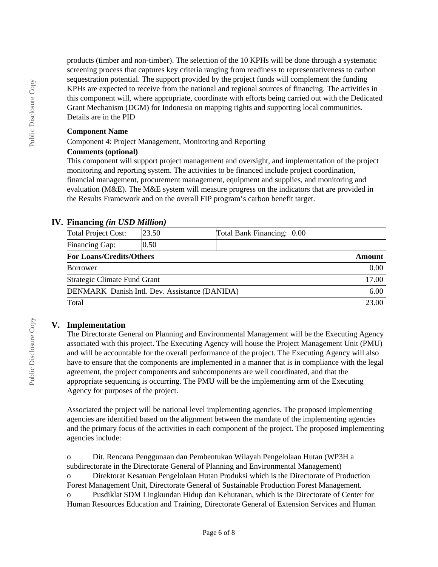products (timber and non-timber). The selection of the 10 KPHs will be done through a systematic screening process that captures key criteria ranging from readiness to representativeness to carbon sequestration potential. The support provided by the project funds will complement the funding KPHs are expected to receive from the national and regional sources of financing. The activities in this component will, where appropriate, coordinate with efforts being carried out with the Dedicated Grant Mechanism (DGM) for Indonesia on mapping rights and supporting local communities. Details are in the PID

#### **Component Name**

Component 4: Project Management, Monitoring and Reporting

#### **Comments (optional)**

This component will support project management and oversight, and implementation of the project monitoring and reporting system. The activities to be financed include project coordination, financial management, procurement management, equipment and supplies, and monitoring and evaluation (M&E). The M&E system will measure progress on the indicators that are provided in the Results Framework and on the overall FIP program's carbon benefit target.

## **IV. Financing** *(in USD Million)*

| <b>Total Project Cost:</b>                           | 23.50 | Total Bank Financing: 0.00 |             |
|------------------------------------------------------|-------|----------------------------|-------------|
| <b>Financing Gap:</b>                                | 0.50  |                            |             |
| <b>For Loans/Credits/Others</b>                      |       | Amount                     |             |
| <b>Borrower</b>                                      |       |                            | $0.00\vert$ |
| Strategic Climate Fund Grant                         |       |                            | 17.00       |
| <b>DENMARK</b> Danish Intl. Dev. Assistance (DANIDA) |       | 6.00                       |             |
| Total                                                |       |                            | 23.00       |

# **V. Implementation**

The Directorate General on Planning and Environmental Management will be the Executing Agency associated with this project. The Executing Agency will house the Project Management Unit (PMU) and will be accountable for the overall performance of the project. The Executing Agency will also have to ensure that the components are implemented in a manner that is in compliance with the legal agreement, the project components and subcomponents are well coordinated, and that the appropriate sequencing is occurring. The PMU will be the implementing arm of the Executing Agency for purposes of the project.

Associated the project will be national level implementing agencies. The proposed implementing agencies are identified based on the alignment between the mandate of the implementing agencies and the primary focus of the activities in each component of the project. The proposed implementing agencies include:

o Dit. Rencana Penggunaan dan Pembentukan Wilayah Pengelolaan Hutan (WP3H a subdirectorate in the Directorate General of Planning and Environmental Management)

o Direktorat Kesatuan Pengelolaan Hutan Produksi which is the Directorate of Production Forest Management Unit, Directorate General of Sustainable Production Forest Management.

o Pusdiklat SDM Lingkundan Hidup dan Kehutanan, which is the Directorate of Center for Human Resources Education and Training, Directorate General of Extension Services and Human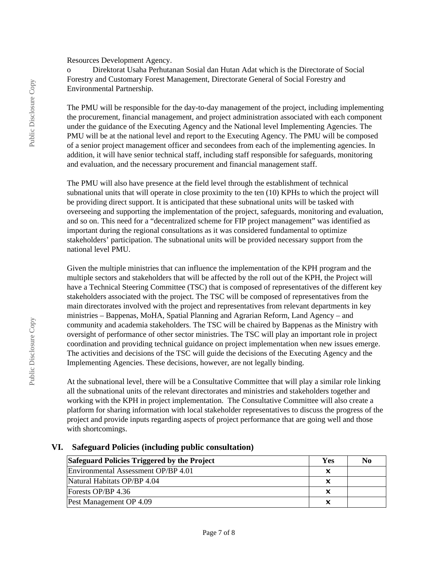Resources Development Agency.

o Direktorat Usaha Perhutanan Sosial dan Hutan Adat which is the Directorate of Social Forestry and Customary Forest Management, Directorate General of Social Forestry and Environmental Partnership.

The PMU will be responsible for the day-to-day management of the project, including implementing the procurement, financial management, and project administration associated with each component under the guidance of the Executing Agency and the National level Implementing Agencies. The PMU will be at the national level and report to the Executing Agency. The PMU will be composed of a senior project management officer and secondees from each of the implementing agencies. In addition, it will have senior technical staff, including staff responsible for safeguards, monitoring and evaluation, and the necessary procurement and financial management staff.

The PMU will also have presence at the field level through the establishment of technical subnational units that will operate in close proximity to the ten (10) KPHs to which the project will be providing direct support. It is anticipated that these subnational units will be tasked with overseeing and supporting the implementation of the project, safeguards, monitoring and evaluation, and so on. This need for a "decentralized scheme for FIP project management" was identified as important during the regional consultations as it was considered fundamental to optimize stakeholders' participation. The subnational units will be provided necessary support from the national level PMU.

Given the multiple ministries that can influence the implementation of the KPH program and the multiple sectors and stakeholders that will be affected by the roll out of the KPH, the Project will have a Technical Steering Committee (TSC) that is composed of representatives of the different key stakeholders associated with the project. The TSC will be composed of representatives from the main directorates involved with the project and representatives from relevant departments in key ministries – Bappenas, MoHA, Spatial Planning and Agrarian Reform, Land Agency – and community and academia stakeholders. The TSC will be chaired by Bappenas as the Ministry with oversight of performance of other sector ministries. The TSC will play an important role in project coordination and providing technical guidance on project implementation when new issues emerge. The activities and decisions of the TSC will guide the decisions of the Executing Agency and the Implementing Agencies. These decisions, however, are not legally binding.

At the subnational level, there will be a Consultative Committee that will play a similar role linking all the subnational units of the relevant directorates and ministries and stakeholders together and working with the KPH in project implementation. The Consultative Committee will also create a platform for sharing information with local stakeholder representatives to discuss the progress of the project and provide inputs regarding aspects of project performance that are going well and those with shortcomings.

#### **VI. Safeguard Policies (including public consultation)**

| Safeguard Policies Triggered by the Project |  | N0 |
|---------------------------------------------|--|----|
| Environmental Assessment OP/BP 4.01         |  |    |
| Natural Habitats OP/BP 4.04                 |  |    |
| Forests OP/BP $4.36$                        |  |    |
| Pest Management OP 4.09                     |  |    |